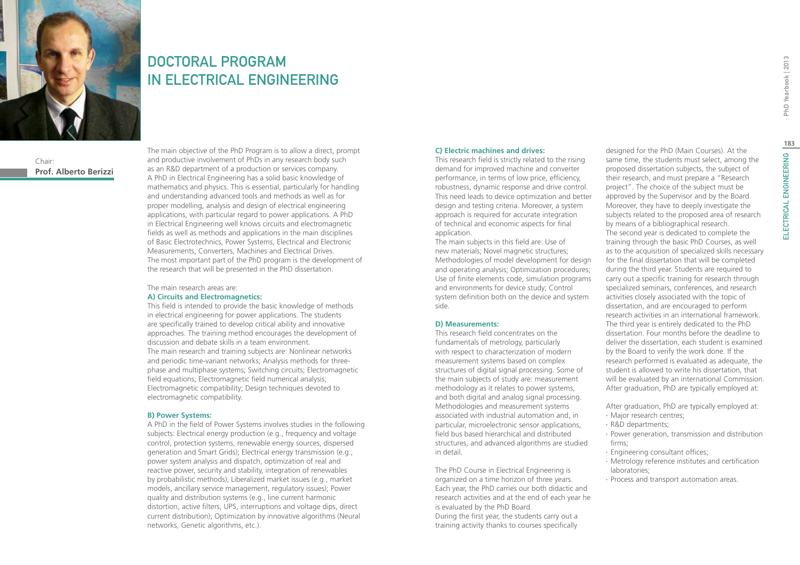

# DOCTORAL PROGRAM IN ELECTRICAL ENGINEERING

Chair: **Prof. Alberto Berizzi** The main objective of the PhD Program is to allow a direct, prompt and productive involvement of PhDs in any research body such as an R&D department of a production or services company. A PhD in Electrical Engineering has a solid basic knowledge of mathematics and physics. This is essential, particularly for handling and understanding advanced tools and methods as well as for proper modelling, analysis and design of electrical engineering applications, with particular regard to power applications. A PhD in Electrical Engineering well knows circuits and electromagnetic fields as well as methods and applications in the main disciplines of Basic Electrotechnics, Power Systems, Electrical and Electronic Measurements, Converters, Machines and Electrical Drives. The most important part of the PhD program is the development of the research that will be presented in the PhD dissertation.

#### The main research areas are: **A) Circuits and Electromagnetics:**

This field is intended to provide the basic knowledge of methods in electrical engineering for power applications. The students are specifically trained to develop critical ability and innovative approaches. The training method encourages the development of discussion and debate skills in a team environment. The main research and training subjects are: Nonlinear networks and periodic time-variant networks; Analysis methods for threephase and multiphase systems; Switching circuits; Electromagnetic field equations; Electromagnetic field numerical analysis; Electromagnetic compatibility; Design techniques devoted to electromagnetic compatibility.

#### **B) Power Systems:**

A PhD in the field of Power Systems involves studies in the following subjects: Electrical energy production (e.g., frequency and voltage control, protection systems, renewable energy sources, dispersed generation and Smart Grids); Electrical energy transmission (e.g., power system analysis and dispatch, optimization of real and reactive power, security and stability, integration of renewables by probabilistic methods); Liberalized market issues (e.g., market models, ancillary service management, regulatory issues); Power quality and distribution systems (e.g., line current harmonic distortion, active filters, UPS, interruptions and voltage dips, direct current distribution); Optimization by innovative algorithms (Neural networks, Genetic algorithms, etc.).

#### **C) Electric machines and drives:**

This research field is strictly related to the rising demand for improved machine and converter performance, in terms of low price, efficiency, robustness, dynamic response and drive control. This need leads to device optimization and better design and testing criteria. Moreover, a system approach is required for accurate integration of technical and economic aspects for final application.

The main subjects in this field are: Use of new materials; Novel magnetic structures; Methodologies of model development for design and operating analysis; Optimization procedures; Use of finite elements code, simulation programs and environments for device study; Control system definition both on the device and system side.

#### **D) Measurements:**

This research field concentrates on the fundamentals of metrology, particularly with respect to characterization of modern measurement systems based on complex structures of digital signal processing. Some of the main subjects of study are: measurement methodology as it relates to power systems, and both digital and analog signal processing. Methodologies and measurement systems associated with industrial automation and, in particular, microelectronic sensor applications, field bus based hierarchical and distributed structures, and advanced algorithms are studied in detail.

The PhD Course in Electrical Engineering is organized on a time horizon of three years. Each year, the PhD carries our both didactic and research activities and at the end of each year he is evaluated by the PhD Board. During the first year, the students carry out a training activity thanks to courses specifically

designed for the PhD (Main Courses). At the same time, the students must select, among the proposed dissertation subjects, the subject of their research, and must prepare a "Research project". The choice of the subject must be approved by the Supervisor and by the Board. Moreover, they have to deeply investigate the subjects related to the proposed area of research by means of a bibliographical research. The second year is dedicated to complete the training through the basic PhD Courses, as well as to the acquisition of specialized skills necessary for the final dissertation that will be completed during the third year. Students are required to carry out a specific training for research through specialized seminars, conferences, and research activities closely associated with the topic of dissertation, and are encouraged to perform research activities in an international framework. The third year is entirely dedicated to the PhD dissertation. Four months before the deadline to deliver the dissertation, each student is examined by the Board to verify the work done. If the research performed is evaluated as adequate, the student is allowed to write his dissertation, that will be evaluated by an international Commission. After graduation, PhD are typically employed at:

After graduation, PhD are typically employed at:

- ∙ Major research centres;
- ∙ R&D departments;
- ∙ Power generation, transmission and distribution firms;
- ∙ Engineering consultant offices;
- ∙ Metrology reference institutes and certification laboratories;
- ∙ Process and transport automation areas.

PhD Yearbook | 2013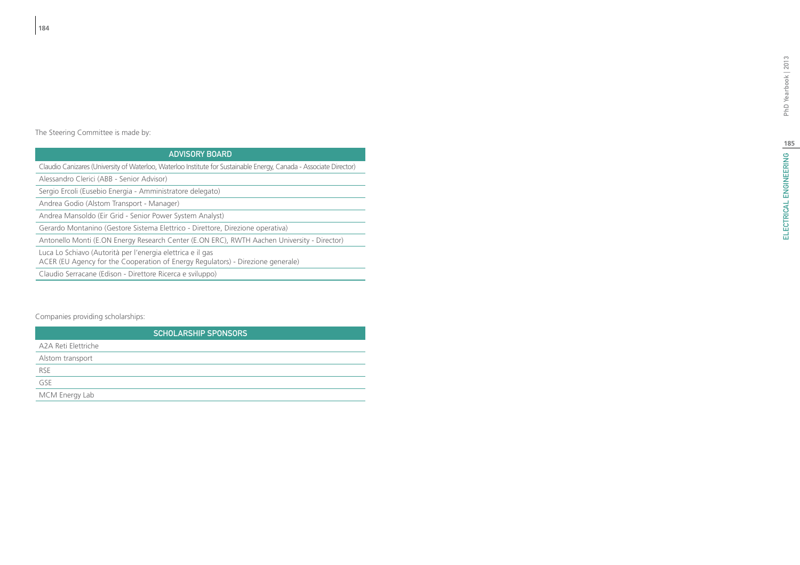# ELECTRICAL ENGINEERING | 8 ELECTRICAL ENGINEERING PhD Yearbook | 2013

The Steering Committee is made by:

## Advisory Board

Claudio Canizares (University of Waterloo, Waterloo Institute for Sustainable Energy, Canada - Associate Director)

Alessandro Clerici (ABB - Senior Advisor)

Sergio Ercoli (Eusebio Energia - Amministratore delegato)

Andrea Godio (Alstom Transport - Manager)

Andrea Mansoldo (Eir Grid - Senior Power System Analyst)

Gerardo Montanino (Gestore Sistema Elettrico - Direttore, Direzione operativa)

Antonello Monti (E.ON Energy Research Center (E.ON ERC), RWTH Aachen University - Director)

Luca Lo Schiavo (Autorità per l'energia elettrica e il gas

ACER (EU Agency for the Cooperation of Energy Regulators) - Direzione generale)

Claudio Serracane (Edison - Direttore Ricerca e sviluppo)

## Companies providing scholarships:

| <b>SCHOLARSHIP SPONSORS</b> |
|-----------------------------|
| A2A Reti Elettriche         |
| Alstom transport            |
| <b>RSE</b>                  |
| GSE                         |
| MCM Energy Lab              |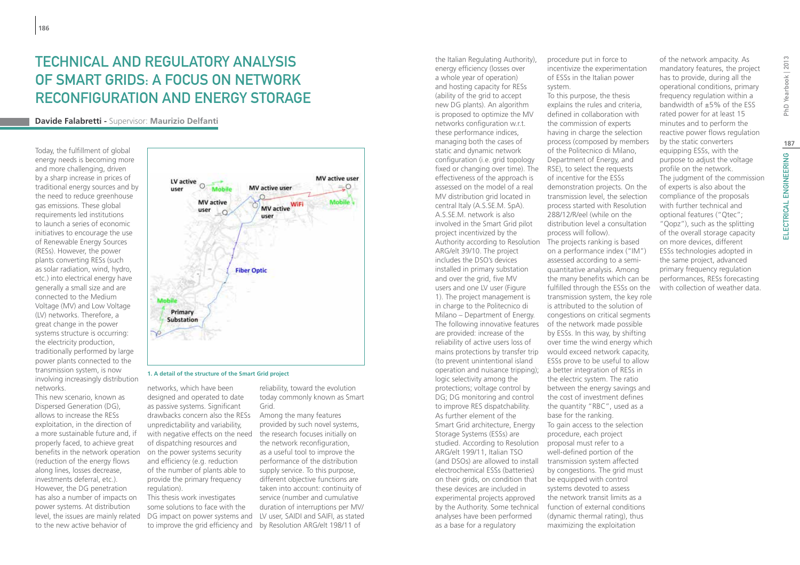# Technical and regulatory analysis of Smart Grids: a focus on network reconfiguration and energy storage

## **Davide Falabretti -** Supervisor: **Maurizio Delfanti**

Today, the fulfillment of global energy needs is becoming more and more challenging, driven by a sharp increase in prices of traditional energy sources and by the need to reduce greenhouse gas emissions. These global requirements led institutions to launch a series of economic initiatives to encourage the use of Renewable Energy Sources (RESs). However, the power plants converting RESs (such as solar radiation, wind, hydro, etc.) into electrical energy have generally a small size and are connected to the Medium Voltage (MV) and Low Voltage (LV) networks. Therefore, a great change in the power systems structure is occurring: the electricity production, traditionally performed by large power plants connected to the transmission system, is now involving increasingly distribution networks.

This new scenario, known as Dispersed Generation (DG), allows to increase the RESs exploitation, in the direction of a more sustainable future and, if properly faced, to achieve great benefits in the network operation (reduction of the energy flows along lines, losses decrease, investments deferral, etc.). However, the DG penetration has also a number of impacts on power systems. At distribution level, the issues are mainly related to the new active behavior of



#### **1. A detail of the structure of the Smart Grid project**

networks, which have been designed and operated to date as passive systems. Significant drawbacks concern also the RESs unpredictability and variability, with negative effects on the need the research focuses initially on of dispatching resources and on the power systems security and efficiency (e.g. reduction of the number of plants able to provide the primary frequency regulation).

This thesis work investigates some solutions to face with the DG impact on power systems and LV user, SAIDI and SAIFI, as stated

reliability, toward the evolution today commonly known as Smart Grid.

to improve the grid efficiency and by Resolution ARG/elt 198/11 of Among the many features provided by such novel systems, the network reconfiguration, as a useful tool to improve the performance of the distribution supply service. To this purpose, different objective functions are taken into account: continuity of service (number and cumulative duration of interruptions per MV/ the Italian Regulating Authority), energy efficiency (losses over a whole year of operation) and hosting capacity for RESs (ability of the grid to accept new DG plants). An algorithm is proposed to optimize the MV networks configuration w.r.t. these performance indices, managing both the cases of static and dynamic network configuration (i.e. grid topology fixed or changing over time). The effectiveness of the approach is assessed on the model of a real MV distribution grid located in central Italy (A.S.SE.M. SpA). A.S.SE.M. network is also involved in the Smart Grid pilot project incentivized by the Authority according to Resolution The projects ranking is based ARG/elt 39/10. The project includes the DSO's devices installed in primary substation and over the grid, five MV users and one LV user (Figure 1). The project management is in charge to the Politecnico di Milano – Department of Energy. The following innovative features are provided: increase of the reliability of active users loss of mains protections by transfer trip (to prevent unintentional island operation and nuisance tripping); logic selectivity among the protections; voltage control by DG; DG monitoring and control to improve RES dispatchability. As further element of the Smart Grid architecture, Energy Storage Systems (ESSs) are studied. According to Resolution ARG/elt 199/11, Italian TSO (and DSOs) are allowed to install electrochemical ESSs (batteries) on their grids, on condition that these devices are included in experimental projects approved by the Authority. Some technical analyses have been performed as a base for a regulatory

procedure put in force to incentivize the experimentation of ESSs in the Italian power system.

To this purpose, the thesis explains the rules and criteria, defined in collaboration with the commission of experts having in charge the selection process (composed by members of the Politecnico di Milano, Department of Energy, and RSE), to select the requests of incentive for the ESSs demonstration projects. On the transmission level, the selection process started with Resolution 288/12/R/eel (while on the distribution level a consultation process will follow). on a performance index ("IM") assessed according to a semiquantitative analysis. Among the many benefits which can be fulfilled through the ESSs on the transmission system, the key role is attributed to the solution of congestions on critical segments of the network made possible by ESSs. In this way, by shifting over time the wind energy which would exceed network capacity, ESSs prove to be useful to allow a better integration of RESs in the electric system. The ratio between the energy savings and the cost of investment defines the quantity "RBC", used as a base for the ranking. To gain access to the selection procedure, each project proposal must refer to a well-defined portion of the transmission system affected by congestions. The grid must be equipped with control systems devoted to assess the network transit limits as a function of external conditions (dynamic thermal rating), thus maximizing the exploitation

of the network ampacity. As mandatory features, the project has to provide, during all the operational conditions, primary frequency regulation within a bandwidth of ±5% of the ESS rated power for at least 15 minutes and to perform the reactive power flows regulation by the static converters equipping ESSs, with the purpose to adjust the voltage profile on the network. The judgment of the commission of experts is also about the compliance of the proposals with further technical and optional features ("Qtec"; "Qopz"), such as the splitting of the overall storage capacity on more devices, different ESSs technologies adopted in the same project, advanced primary frequency regulation performances, RESs forecasting with collection of weather data.

ELECTRICAL ENGINEERING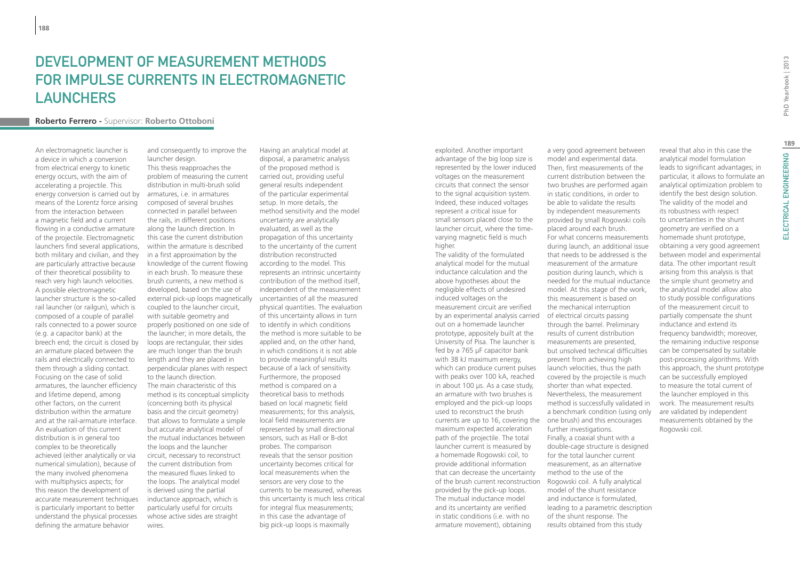## DEVELOPMENT OF MEASUREMENT METHODS for impulse currents in electromagnetic **LAUNCHERS**

#### **Roberto Ferrero -** Supervisor: **Roberto Ottoboni**

An electromagnetic launcher is a device in which a conversion from electrical energy to kinetic energy occurs, with the aim of accelerating a projectile. This energy conversion is carried out by means of the Lorentz force arising from the interaction between a magnetic field and a current flowing in a conductive armature of the projectile. Electromagnetic launchers find several applications, both military and civilian, and they are particularly attractive because of their theoretical possibility to reach very high launch velocities. A possible electromagnetic launcher structure is the so-called rail launcher (or railgun), which is composed of a couple of parallel rails connected to a power source (e.g. a capacitor bank) at the breech end; the circuit is closed by an armature placed between the rails and electrically connected to them through a sliding contact. Focusing on the case of solid armatures, the launcher efficiency and lifetime depend, among other factors, on the current distribution within the armature and at the rail-armature interface. An evaluation of this current distribution is in general too complex to be theoretically achieved (either analytically or via numerical simulation), because of the many involved phenomena with multiphysics aspects; for this reason the development of accurate measurement techniques is particularly important to better understand the physical processes defining the armature behavior

This thesis reapproaches the problem of measuring the current distribution in multi-brush solid armatures, i.e. in armatures composed of several brushes connected in parallel between

and consequently to improve the

launcher design.

the rails, in different positions along the launch direction. In this case the current distribution within the armature is described in a first approximation by the knowledge of the current flowing in each brush. To measure these brush currents, a new method is developed, based on the use of external pick-up loops magnetically uncertainties of all the measured coupled to the launcher circuit, with suitable geometry and properly positioned on one side of the launcher; in more details, the loops are rectangular, their sides are much longer than the brush length and they are placed in perpendicular planes with respect to the launch direction. The main characteristic of this method is its conceptual simplicity (concerning both its physical basis and the circuit geometry) that allows to formulate a simple but accurate analytical model of the mutual inductances between the loops and the launcher circuit, necessary to reconstruct the current distribution from the measured fluxes linked to the loops. The analytical model is derived using the partial inductance approach, which is particularly useful for circuits whose active sides are straight wires.

Having an analytical model at disposal, a parametric analysis of the proposed method is carried out, providing useful general results independent of the particular experimental setup. In more details, the method sensitivity and the model uncertainty are analytically evaluated, as well as the propagation of this uncertainty to the uncertainty of the current distribution reconstructed according to the model. This represents an intrinsic uncertainty contribution of the method itself, independent of the measurement physical quantities. The evaluation of this uncertainty allows in turn to identify in which conditions the method is more suitable to be applied and, on the other hand, in which conditions it is not able to provide meaningful results because of a lack of sensitivity. Furthermore, the proposed method is compared on a theoretical basis to methods based on local magnetic field measurements; for this analysis, local field measurements are represented by small directional sensors, such as Hall or B-dot probes. The comparison reveals that the sensor position uncertainty becomes critical for local measurements when the sensors are very close to the currents to be measured, whereas this uncertainty is much less critical for integral flux measurements; in this case the advantage of big pick-up loops is maximally

exploited. Another important advantage of the big loop size is represented by the lower induced voltages on the measurement circuits that connect the sensor to the signal acquisition system. Indeed, these induced voltages represent a critical issue for small sensors placed close to the launcher circuit, where the timevarying magnetic field is much higher.

The validity of the formulated analytical model for the mutual inductance calculation and the above hypotheses about the negligible effects of undesired induced voltages on the measurement circuit are verified by an experimental analysis carried of electrical circuits passing out on a homemade launcher prototype, appositely built at the University of Pisa. The launcher is fed by a 765 μF capacitor bank with 38 kJ maximum energy, which can produce current pulses with peaks over 100 kA, reached in about 100 μs. As a case study, an armature with two brushes is employed and the pick-up loops used to reconstruct the brush currents are up to 16, covering the one brush) and this encourages maximum expected acceleration path of the projectile. The total launcher current is measured by a homemade Rogowski coil, to provide additional information that can decrease the uncertainty of the brush current reconstruction provided by the pick-up loops. The mutual inductance model and its uncertainty are verified in static conditions (i.e. with no armature movement), obtaining

a very good agreement between model and experimental data. Then, first measurements of the current distribution between the two brushes are performed again in static conditions, in order to be able to validate the results by independent measurements provided by small Rogowski coils placed around each brush. For what concerns measurements during launch, an additional issue that needs to be addressed is the measurement of the armature position during launch, which is needed for the mutual inductance model. At this stage of the work, this measurement is based on the mechanical interruption through the barrel. Preliminary results of current distribution measurements are presented, but unsolved technical difficulties prevent from achieving high launch velocities, thus the path covered by the projectile is much shorter than what expected. Nevertheless, the measurement method is successfully validated in a benchmark condition (using only further investigations. Finally, a coaxial shunt with a double-cage structure is designed for the total launcher current measurement, as an alternative method to the use of the Rogowski coil. A fully analytical model of the shunt resistance and inductance is formulated, leading to a parametric description of the shunt response. The results obtained from this study

PhD Yearbook | 2013

reveal that also in this case the analytical model formulation leads to significant advantages; in particular, it allows to formulate an analytical optimization problem to identify the best design solution. The validity of the model and its robustness with respect to uncertainties in the shunt geometry are verified on a homemade shunt prototype, obtaining a very good agreement between model and experimental data. The other important result arising from this analysis is that the simple shunt geometry and the analytical model allow also to study possible configurations of the measurement circuit to partially compensate the shunt inductance and extend its frequency bandwidth; moreover, the remaining inductive response can be compensated by suitable post-processing algorithms. With this approach, the shunt prototype can be successfully employed to measure the total current of the launcher employed in this work. The measurement results are validated by independent measurements obtained by the Rogowski coil.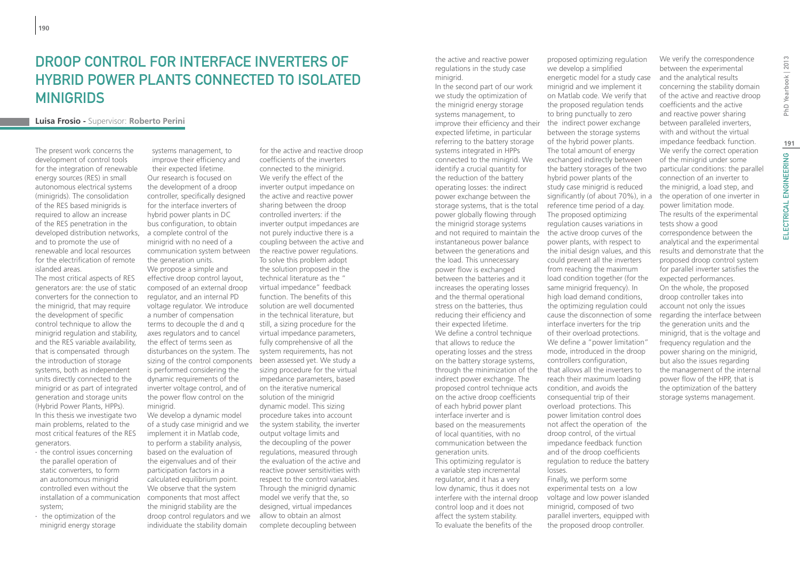## Droop control for interface inverters of hybrid power plants connected to isolated **MINIGRIDS**

## **Luisa Frosio -** Supervisor: **Roberto Perini**

The present work concerns the development of control tools for the integration of renewable energy sources (RES) in small autonomous electrical systems (minigrids). The consolidation of the RES based minigrids is required to allow an increase of the RES penetration in the developed distribution networks, and to promote the use of renewable and local resources for the electrification of remote islanded areas.

The most critical aspects of RES generators are: the use of static converters for the connection to the minigrid, that may require the development of specific control technique to allow the minigrid regulation and stability, and the RES variable availability, that is compensated through the introduction of storage systems, both as independent units directly connected to the minigrid or as part of integrated generation and storage units (Hybrid Power Plants, HPPs). In this thesis we investigate two main problems, related to the most critical features of the RES generators.

- ∙ the control issues concerning the parallel operation of static converters, to form an autonomous minigrid controlled even without the installation of a communication system;
- ∙ the optimization of the minigrid energy storage

systems management, to improve their efficiency and their expected lifetime. Our research is focused on the development of a droop controller, specifically designed for the interface inverters of hybrid power plants in DC bus configuration, to obtain a complete control of the minigrid with no need of a communication system between the generation units. We propose a simple and effective droop control layout, composed of an external droop regulator, and an internal PD voltage regulator. We introduce a number of compensation terms to decouple the d and q axes regulators and to cancel the effect of terms seen as disturbances on the system. The sizing of the control components been assessed yet. We study a is performed considering the dynamic requirements of the inverter voltage control, and of the power flow control on the minigrid. We develop a dynamic model

of a study case minigrid and we implement it in Matlab code, to perform a stability analysis, based on the evaluation of the eigenvalues and of their participation factors in a calculated equilibrium point. We observe that the system components that most affect the minigrid stability are the droop control regulators and we individuate the stability domain

for the active and reactive droop coefficients of the inverters connected to the minigrid. We verify the effect of the inverter output impedance on the active and reactive power sharing between the droop controlled inverters: if the inverter output impedances are not purely inductive there is a coupling between the active and the reactive power regulations. To solve this problem adopt the solution proposed in the technical literature as the " virtual impedance" feedback function. The benefits of this solution are well documented in the technical literature, but still, a sizing procedure for the virtual impedance parameters, fully comprehensive of all the system requirements, has not sizing procedure for the virtual impedance parameters, based on the iterative numerical solution of the minigrid dynamic model. This sizing procedure takes into account the system stability, the inverter output voltage limits and the decoupling of the power regulations, measured through the evaluation of the active and reactive power sensitivities with respect to the control variables. Through the minigrid dynamic model we verify that the, so designed, virtual impedances allow to obtain an almost complete decoupling between

the active and reactive power regulations in the study case minigrid.

improve their efficiency and their the indirect power exchange In the second part of our work we study the optimization of the minigrid energy storage systems management, to expected lifetime, in particular referring to the battery storage systems integrated in HPPs connected to the minigrid. We identify a crucial quantity for the reduction of the battery operating losses: the indirect power exchange between the storage systems, that is the total power globally flowing through the minigrid storage systems and not required to maintain the instantaneous power balance between the generations and the load. This unnecessary power flow is exchanged between the batteries and it increases the operating losses and the thermal operational stress on the batteries, thus reducing their efficiency and their expected lifetime. We define a control technique that allows to reduce the operating losses and the stress on the battery storage systems, through the minimization of the indirect power exchange. The proposed control technique acts on the active droop coefficients of each hybrid power plant interface inverter and is based on the measurements of local quantities, with no communication between the generation units. This optimizing regulator is a variable step incremental regulator, and it has a very low dynamic, thus it does not interfere with the internal droop control loop and it does not affect the system stability. To evaluate the benefits of the

proposed optimizing regulation we develop a simplified energetic model for a study case minigrid and we implement it on Matlab code. We verify that the proposed regulation tends to bring punctually to zero between the storage systems of the hybrid power plants. The total amount of energy exchanged indirectly between the battery storages of the two hybrid power plants of the study case minigrid is reduced significantly (of about 70%), in a reference time period of a day. The proposed optimizing regulation causes variations in the active droop curves of the power plants, with respect to the initial design values, and this could prevent all the inverters from reaching the maximum load condition together (for the same minigrid frequency). In high load demand conditions, the optimizing regulation could cause the disconnection of some interface inverters for the trip of their overload protections. We define a "power limitation" mode, introduced in the droop controllers configuration, that allows all the inverters to reach their maximum loading condition, and avoids the consequential trip of their overload protections. This power limitation control does not affect the operation of the droop control, of the virtual impedance feedback function and of the droop coefficients regulation to reduce the battery losses. Finally, we perform some experimental tests on a low voltage and low power islanded minigrid, composed of two parallel inverters, equipped with the proposed droop controller.

We verify the correspondence between the experimental and the analytical results concerning the stability domain of the active and reactive droop coefficients and the active and reactive power sharing between paralleled inverters, with and without the virtual impedance feedback function. We verify the correct operation of the minigrid under some particular conditions: the parallel connection of an inverter to the minigrid, a load step, and the operation of one inverter in power limitation mode. The results of the experimental tests show a good correspondence between the analytical and the experimental results and demonstrate that the proposed droop control system for parallel inverter satisfies the expected performances. On the whole, the proposed droop controller takes into account not only the issues regarding the interface between the generation units and the minigrid, that is the voltage and frequency regulation and the power sharing on the minigrid, but also the issues regarding the management of the internal power flow of the HPP, that is the optimization of the battery storage systems management.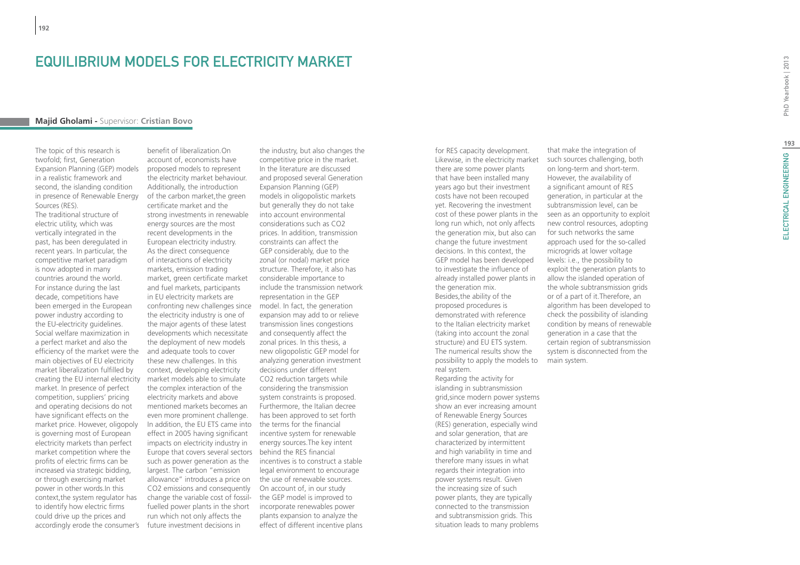## EQUILIBRIUM MODELS FOR ELECTRICITY MARKET

## **Majid Gholami -** Supervisor: **Cristian Bovo**

The topic of this research is twofold; first, Generation Expansion Planning (GEP) models in a realistic framework and second, the islanding condition in presence of Renewable Energy Sources (RES).

The traditional structure of electric utility, which was vertically integrated in the past, has been deregulated in recent years. In particular, the competitive market paradigm is now adopted in many countries around the world. For instance during the last decade, competitions have been emerged in the European power industry according to the EU-electricity guidelines. Social welfare maximization in a perfect market and also the efficiency of the market were the main objectives of EU electricity market liberalization fulfilled by creating the EU internal electricity market. In presence of perfect competition, suppliers' pricing and operating decisions do not have significant effects on the market price. However, oligopoly is governing most of European electricity markets than perfect market competition where the profits of electric firms can be increased via strategic bidding, or through exercising market power in other words.In this context,the system regulator has to identify how electric firms could drive up the prices and accordingly erode the consumer's

benefit of liberalization.On account of, economists have proposed models to represent the electricity market behaviour. Additionally, the introduction of the carbon market,the green certificate market and the strong investments in renewable energy sources are the most recent developments in the European electricity industry. As the direct consequence of interactions of electricity markets, emission trading market, green certificate market and fuel markets, participants in EU electricity markets are confronting new challenges since model. In fact, the generation the electricity industry is one of the major agents of these latest developments which necessitate the deployment of new models and adequate tools to cover these new challenges. In this context, developing electricity market models able to simulate the complex interaction of the electricity markets and above mentioned markets becomes an even more prominent challenge. In addition, the EU ETS came into effect in 2005 having significant impacts on electricity industry in Europe that covers several sectors such as power generation as the largest. The carbon "emission allowance" introduces a price on the use of renewable sources. CO2 emissions and consequently change the variable cost of fossilfuelled power plants in the short run which not only affects the future investment decisions in

the industry, but also changes the competitive price in the market. In the literature are discussed and proposed several Generation Expansion Planning (GEP) models in oligopolistic markets but generally they do not take into account environmental considerations such as CO2 prices. In addition, transmission constraints can affect the GEP considerably, due to the zonal (or nodal) market price structure. Therefore, it also has considerable importance to include the transmission network representation in the GEP expansion may add to or relieve transmission lines congestions and consequently affect the zonal prices. In this thesis, a new oligopolistic GEP model for analyzing generation investment decisions under different CO2 reduction targets while considering the transmission system constraints is proposed. Furthermore, the Italian decree has been approved to set forth the terms for the financial incentive system for renewable energy sources.The key intent behind the RES financial incentives is to construct a stable legal environment to encourage On account of, in our study the GEP model is improved to incorporate renewables power plants expansion to analyze the effect of different incentive plans

for RES capacity development. Likewise, in the electricity market there are some power plants that have been installed many years ago but their investment costs have not been recouped yet. Recovering the investment cost of these power plants in the long run which, not only affects the generation mix, but also can change the future investment decisions. In this context, the GEP model has been developed to investigate the influence of already installed power plants in the generation mix. Besides,the ability of the proposed procedures is demonstrated with reference to the Italian electricity market (taking into account the zonal structure) and EU ETS system. The numerical results show the possibility to apply the models to real system. Regarding the activity for islanding in subtransmission grid,since modern power systems show an ever increasing amount of Renewable Energy Sources (RES) generation, especially wind and solar generation, that are characterized by intermittent and high variability in time and therefore many issues in what regards their integration into power systems result. Given the increasing size of such power plants, they are typically connected to the transmission and subtransmission grids. This

situation leads to many problems

that make the integration of such sources challenging, both on long-term and short-term. However, the availability of a significant amount of RES generation, in particular at the subtransmission level, can be seen as an opportunity to exploit new control resources, adopting for such networks the same approach used for the so-called microgrids at lower voltage levels: i.e., the possibility to exploit the generation plants to allow the islanded operation of the whole subtransmission grids or of a part of it.Therefore, an algorithm has been developed to check the possibility of islanding condition by means of renewable generation in a case that the certain region of subtransmission system is disconnected from the main system.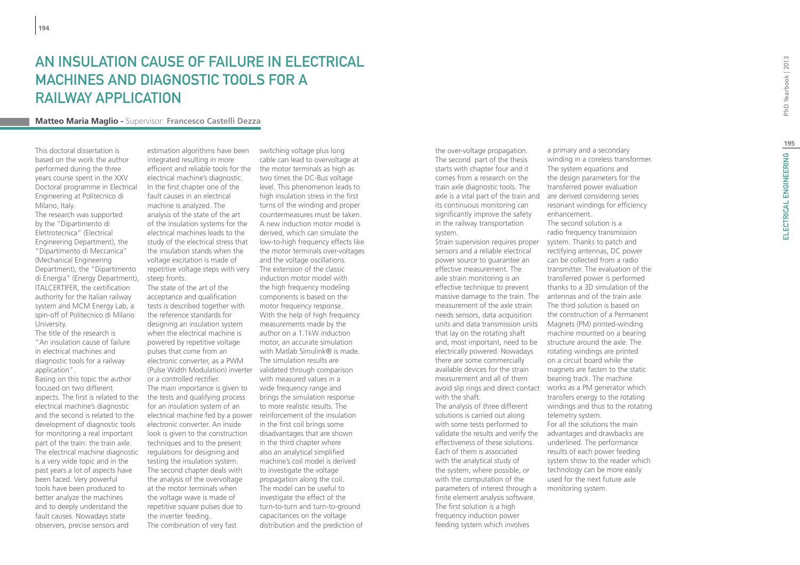# AN INSULATION CAUSE OF FAILURE IN ELECTRICAL Machines and Diagnostic Tools for a Railway Application

## **Matteo Maria Maglio -** Supervisor: **Francesco Castelli Dezza**

This doctoral dissertation is based on the work the author performed during the three years course spent in the XXV Doctoral programme in Electrical Engineering at Politecnico di Milano, Italy. The research was supported by the "Dipartimento di Elettrotecnica" (Electrical Engineering Department), the "Dipartimento di Meccanica" (Mechanical Engineering Department), the "Dipartimento di Energia" (Energy Department), ITALCERTIFER, the certification authority for the Italian railway system and MCM Energy Lab, a spin-off of Politecnico di Milano University.

The title of the research is "An insulation cause of failure in electrical machines and diagnostic tools for a railway application". Basing on this topic the author focused on two different aspects. The first is related to the electrical machine's diagnostic and the second is related to the development of diagnostic tools for monitoring a real important part of the train: the train axle. The electrical machine diagnostic is a very wide topic and in the past years a lot of aspects have been faced. Very powerful tools have been produced to better analyze the machines and to deeply understand the fault causes. Nowadays state observers, precise sensors and

estimation algorithms have been integrated resulting in more efficient and reliable tools for the the motor terminals as high as electrical machine's diagnostic. In the first chapter one of the fault causes in an electrical machine is analyzed. The analysis of the state of the art of the insulation systems for the electrical machines leads to the study of the electrical stress that the insulation stands when the voltage excitation is made of repetitive voltage steps with very steep fronts.

The state of the art of the acceptance and qualification tests is described together with the reference standards for designing an insulation system when the electrical machine is powered by repetitive voltage pulses that come from an electronic converter, as a PWM (Pulse Width Modulation) inverter validated through comparison or a controlled rectifier. The main importance is given to the tests and qualifying process for an insulation system of an electrical machine fed by a power reinforcement of the insulation electronic converter. An inside look is given to the construction techniques and to the present regulations for designing and testing the insulation system. The second chapter deals with the analysis of the overvoltage at the motor terminals when the voltage wave is made of repetitive square pulses due to the inverter feeding. The combination of very fast

switching voltage plus long cable can lead to overvoltage at two times the DC-Bus voltage level. This phenomenon leads to high insulation stress in the first turns of the winding and proper countermeasures must be taken. A new induction motor model is derived, which can simulate the low-to-high frequency effects like the motor terminals over-voltages and the voltage oscillations. The extension of the classic induction motor model with the high frequency modeling components is based on the motor frequency response. With the help of high frequency measurements made by the author on a 1.1kW induction motor, an accurate simulation with Matlab Simulink® is made. The simulation results are with measured values in a wide frequency range and brings the simulation response to more realistic results. The in the first coil brings some disadvantages that are shown in the third chapter where also an analytical simplified machine's coil model is derived to investigate the voltage propagation along the coil. The model can be useful to investigate the effect of the turn-to-turn and turn-to-ground capacitances on the voltage distribution and the prediction of

the over-voltage propagation. The second part of the thesis starts with chapter four and it comes from a research on the train axle diagnostic tools. The axle is a vital part of the train and its continuous monitoring can significantly improve the safety in the railway transportation system.

Strain supervision requires proper sensors and a reliable electrical power source to guarantee an effective measurement. The axle strain monitoring is an effective technique to prevent massive damage to the train. The antennas and of the train axle. measurement of the axle strain needs sensors, data acquisition units and data transmission units that lay on the rotating shaft and, most important, need to be structure around the axle. The electrically powered. Nowadays there are some commercially available devices for the strain measurement and all of them avoid slip rings and direct contact works as a PM generator which with the shaft.

The analysis of three different solutions is carried out along with some tests performed to validate the results and verify the advantages and drawbacks are effectiveness of these solutions. Each of them is associated with the analytical study of the system, where possible, or with the computation of the parameters of interest through a monitoring system. finite element analysis software. The first solution is a high frequency induction power feeding system which involves

a primary and a secondary winding in a coreless transformer. The system equations and the design parameters for the transferred power evaluation are derived considering series resonant windings for efficiency enhancement. The second solution is a radio frequency transmission system. Thanks to patch and rectifying antennas, DC power can be collected from a radio transmitter. The evaluation of the transferred power is performed thanks to a 3D simulation of the The third solution is based on the construction of a Permanent Magnets (PM) printed-winding machine mounted on a bearing rotating windings are printed on a circuit board while the magnets are fasten to the static bearing track. The machine transfers energy to the rotating windings and thus to the rotating telemetry system.

For all the solutions the main underlined. The performance results of each power feeding system show to the reader which technology can be more easily used for the next future axle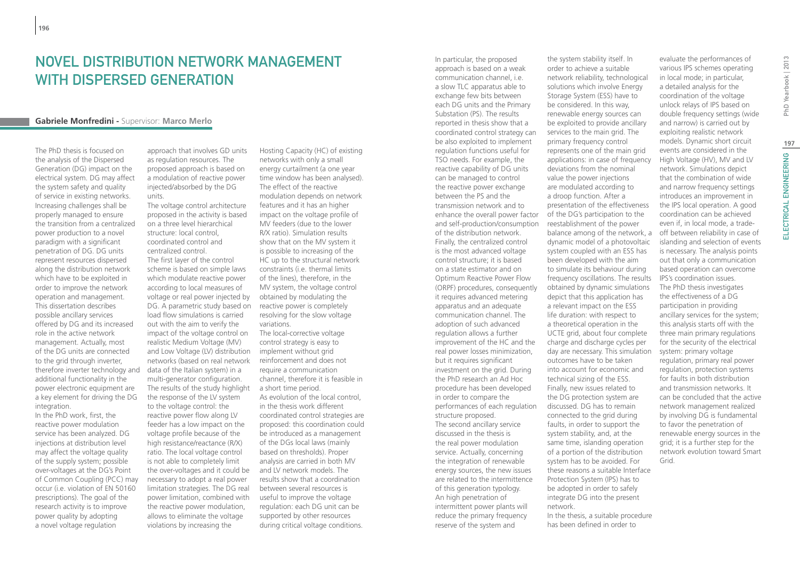## Novel distribution network management with dispersed generation

#### **Gabriele Monfredini -** Supervisor: **Marco Merlo**

The PhD thesis is focused on the analysis of the Dispersed Generation (DG) impact on the electrical system. DG may affect the system safety and quality of service in existing networks. Increasing challenges shall be properly managed to ensure the transition from a centralized power production to a novel paradigm with a significant penetration of DG. DG units represent resources dispersed along the distribution network which have to be exploited in order to improve the network operation and management. This dissertation describes possible ancillary services offered by DG and its increased role in the active network management. Actually, most of the DG units are connected to the grid through inverter, therefore inverter technology and additional functionality in the power electronic equipment are a key element for driving the DG integration.

In the PhD work, first, the reactive power modulation service has been analyzed. DG injections at distribution level may affect the voltage quality of the supply system; possible over-voltages at the DG's Point of Common Coupling (PCC) may occur (i.e. violation of EN 50160 prescriptions). The goal of the research activity is to improve power quality by adopting a novel voltage regulation

approach that involves GD units as regulation resources. The proposed approach is based on a modulation of reactive power injected/absorbed by the DG units.

The voltage control architecture proposed in the activity is based on a three level hierarchical structure: local control, coordinated control and centralized control. The first layer of the control scheme is based on simple laws which modulate reactive power according to local measures of voltage or real power injected by DG. A parametric study based on load flow simulations is carried out with the aim to verify the impact of the voltage control on realistic Medium Voltage (MV) and Low Voltage (LV) distribution implement without grid networks (based on real network data of the Italian system) in a multi-generator configuration. The results of the study highlight a short time period. the response of the LV system to the voltage control: the reactive power flow along LV feeder has a low impact on the voltage profile because of the high resistance/reactance (R/X) ratio. The local voltage control is not able to completely limit the over-voltages and it could be necessary to adopt a real power limitation strategies. The DG real power limitation, combined with the reactive power modulation, allows to eliminate the voltage violations by increasing the

Hosting Capacity (HC) of existing networks with only a small energy curtailment (a one year time window has been analysed). The effect of the reactive modulation depends on network features and it has an higher impact on the voltage profile of MV feeders (due to the lower R/X ratio). Simulation results show that on the MV system it is possible to increasing of the HC up to the structural network constraints (i.e. thermal limits of the lines), therefore, in the MV system, the voltage control obtained by modulating the reactive power is completely resolving for the slow voltage variations.

The local-corrective voltage control strategy is easy to reinforcement and does not require a communication channel, therefore it is feasible in As evolution of the local control, in the thesis work different coordinated control strategies are proposed: this coordination could be introduced as a management of the DGs local laws (mainly based on thresholds). Proper analysis are carried in both MV and LV network models. The results show that a coordination between several resources is useful to improve the voltage regulation: each DG unit can be supported by other resources during critical voltage conditions.

In particular, the proposed approach is based on a weak communication channel, i.e. a slow TLC apparatus able to exchange few bits between each DG units and the Primary Substation (PS). The results reported in thesis show that a coordinated control strategy can be also exploited to implement regulation functions useful for TSO needs. For example, the reactive capability of DG units can be managed to control the reactive power exchange between the PS and the transmission network and to enhance the overall power factor and self-production/consumption of the distribution network. Finally, the centralized control is the most advanced voltage control structure; it is based on a state estimator and on Optimum Reactive Power Flow (ORPF) procedures, consequently it requires advanced metering apparatus and an adequate communication channel. The adoption of such advanced regulation allows a further improvement of the HC and the real power losses minimization, but it requires significant investment on the grid. During the PhD research an Ad Hoc procedure has been developed in order to compare the performances of each regulation structure proposed. The second ancillary service discussed in the thesis is the real power modulation service. Actually, concerning the integration of renewable energy sources, the new issues are related to the intermittence of this generation typology. An high penetration of intermittent power plants will reduce the primary frequency reserve of the system and

the system stability itself. In order to achieve a suitable network reliability, technological solutions which involve Energy Storage System (ESS) have to be considered. In this way, renewable energy sources can be exploited to provide ancillary services to the main grid. The primary frequency control represents one of the main grid applications: in case of frequency deviations from the nominal value the power injections are modulated according to a droop function. After a presentation of the effectiveness of the DG's participation to the reestablishment of the power balance among of the network, a dynamic model of a photovoltaic system coupled with an ESS has been developed with the aim to simulate its behaviour during frequency oscillations. The results obtained by dynamic simulations depict that this application has a relevant impact on the ESS life duration: with respect to a theoretical operation in the UCTE grid, about four complete charge and discharge cycles per day are necessary. This simulation outcomes have to be taken into account for economic and technical sizing of the ESS. Finally, new issues related to the DG protection system are discussed. DG has to remain connected to the grid during faults, in order to support the system stability, and, at the same time, islanding operation of a portion of the distribution system has to be avoided. For these reasons a suitable Interface Protection System (IPS) has to be adopted in order to safely integrate DG into the present network. In the thesis, a suitable procedure has been defined in order to

evaluate the performances of various IPS schemes operating in local mode; in particular, a detailed analysis for the coordination of the voltage unlock relays of IPS based on double frequency settings (wide and narrow) is carried out by exploiting realistic network models. Dynamic short circuit events are considered in the High Voltage (HV), MV and LV network. Simulations depict that the combination of wide and narrow frequency settings introduces an improvement in the IPS local operation. A good coordination can be achieved even if, in local mode, a tradeoff between reliability in case of islanding and selection of events is necessary. The analysis points out that only a communication based operation can overcome IPS's coordination issues. The PhD thesis investigates the effectiveness of a DG participation in providing ancillary services for the system; this analysis starts off with the three main primary regulations for the security of the electrical system: primary voltage regulation, primary real power regulation, protection systems for faults in both distribution and transmission networks. It can be concluded that the active network management realized by involving DG is fundamental to favor the penetration of renewable energy sources in the grid; it is a further step for the network evolution toward Smart Grid.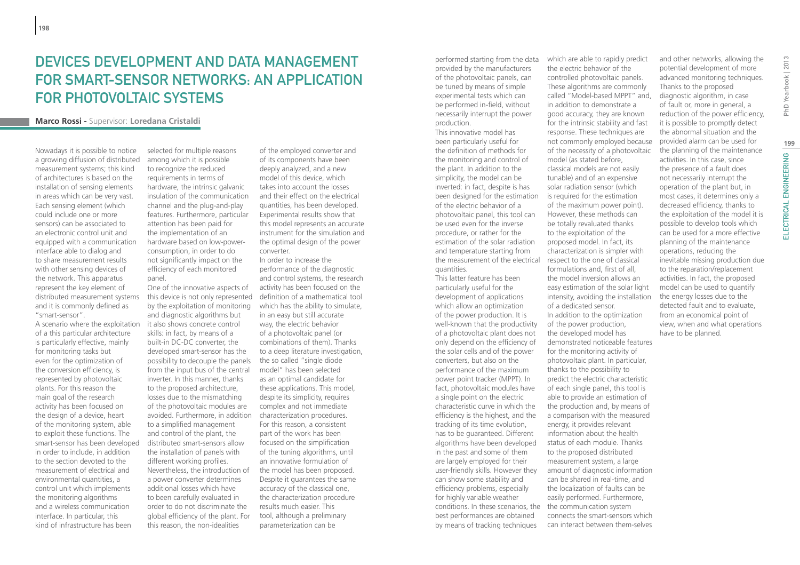## DEVICES DEVELOPMENT AND DATA MANAGEMENT for smart-sensor networks: an application for photovoltaic systems

## **Marco Rossi -** Supervisor: **Loredana Cristaldi**

Nowadays it is possible to notice a growing diffusion of distributed measurement systems; this kind of architectures is based on the installation of sensing elements in areas which can be very vast. Each sensing element (which could include one or more sensors) can be associated to an electronic control unit and equipped with a communication interface able to dialog and to share measurement results with other sensing devices of the network. This apparatus represent the key element of distributed measurement systems and it is commonly defined as "smart-sensor".

A scenario where the exploitation of a this particular architecture is particularly effective, mainly for monitoring tasks but even for the optimization of the conversion efficiency, is represented by photovoltaic plants. For this reason the main goal of the research activity has been focused on the design of a device, heart of the monitoring system, able to exploit these functions. The smart-sensor has been developed in order to include, in addition to the section devoted to the measurement of electrical and environmental quantities, a control unit which implements the monitoring algorithms and a wireless communication interface. In particular, this kind of infrastructure has been

selected for multiple reasons among which it is possible to recognize the reduced requirements in terms of hardware, the intrinsic galvanic insulation of the communication channel and the plug-and-play features. Furthermore, particular attention has been paid for the implementation of an hardware based on low-powerconsumption, in order to do not significantly impact on the efficiency of each monitored panel.

One of the innovative aspects of by the exploitation of monitoring and diagnostic algorithms but it also shows concrete control skills: in fact, by means of a built-in DC-DC converter, the developed smart-sensor has the possibility to decouple the panels from the input bus of the central inverter. In this manner, thanks to the proposed architecture, losses due to the mismatching of the photovoltaic modules are avoided. Furthermore, in addition to a simplified management and control of the plant, the distributed smart-sensors allow the installation of panels with different working profiles. Nevertheless, the introduction of a power converter determines additional losses which have to been carefully evaluated in order to do not discriminate the global efficiency of the plant. For this reason, the non-idealities

of the employed converter and of its components have been deeply analyzed, and a new model of this device, which takes into account the losses and their effect on the electrical quantities, has been developed. Experimental results show that this model represents an accurate instrument for the simulation and the optimal design of the power converter.

this device is not only represented definition of a mathematical tool In order to increase the performance of the diagnostic and control systems, the research activity has been focused on the which has the ability to simulate, in an easy but still accurate way, the electric behavior of a photovoltaic panel (or combinations of them). Thanks to a deep literature investigation, the so called "single diode model" has been selected as an optimal candidate for these applications. This model, despite its simplicity, requires complex and not immediate characterization procedures. For this reason, a consistent part of the work has been focused on the simplification of the tuning algorithms, until an innovative formulation of the model has been proposed. Despite it guarantees the same accuracy of the classical one, the characterization procedure results much easier. This tool, although a preliminary parameterization can be

performed starting from the data provided by the manufacturers of the photovoltaic panels, can be tuned by means of simple experimental tests which can be performed in-field, without necessarily interrupt the power production.

This innovative model has been particularly useful for the definition of methods for the monitoring and control of the plant. In addition to the simplicity, the model can be inverted: in fact, despite is has been designed for the estimation of the electric behavior of a photovoltaic panel, this tool can be used even for the inverse procedure, or rather for the estimation of the solar radiation and temperature starting from quantities.

This latter feature has been particularly useful for the development of applications which allow an optimization of the power production. It is well-known that the productivity of a photovoltaic plant does not only depend on the efficiency of the solar cells and of the power converters, but also on the performance of the maximum power point tracker (MPPT). In fact, photovoltaic modules have a single point on the electric characteristic curve in which the efficiency is the highest, and the tracking of its time evolution, has to be guaranteed. Different algorithms have been developed in the past and some of them are largely employed for their user-friendly skills. However they can show some stability and efficiency problems, especially for highly variable weather conditions. In these scenarios, the the communication system best performances are obtained by means of tracking techniques

the measurement of the electrical respect to the one of classical which are able to rapidly predict the electric behavior of the controlled photovoltaic panels. These algorithms are commonly called "Model-based MPPT" and, in addition to demonstrate a good accuracy, they are known for the intrinsic stability and fast response. These techniques are not commonly employed because of the necessity of a photovoltaic model (as stated before, classical models are not easily tunable) and of an expensive solar radiation sensor (which is required for the estimation of the maximum power point). However, these methods can be totally revaluated thanks to the exploitation of the proposed model. In fact, its characterization is simpler with formulations and, first of all, the model inversion allows an easy estimation of the solar light intensity, avoiding the installation of a dedicated sensor. In addition to the optimization of the power production, the developed model has demonstrated noticeable features for the monitoring activity of photovoltaic plant. In particular, thanks to the possibility to predict the electric characteristic of each single panel, this tool is able to provide an estimation of the production and, by means of a comparison with the measured energy, it provides relevant information about the health status of each module. Thanks to the proposed distributed measurement system, a large amount of diagnostic information can be shared in real-time, and the localization of faults can be easily performed. Furthermore,

> connects the smart-sensors which can interact between them-selves

potential development of more advanced monitoring techniques. Thanks to the proposed diagnostic algorithm, in case of fault or, more in general, a reduction of the power efficiency, it is possible to promptly detect the abnormal situation and the provided alarm can be used for the planning of the maintenance activities. In this case, since the presence of a fault does not necessarily interrupt the operation of the plant but, in most cases, it determines only a decreased efficiency, thanks to the exploitation of the model it is possible to develop tools which can be used for a more effective planning of the maintenance operations, reducing the inevitable missing production due to the reparation/replacement activities. In fact, the proposed model can be used to quantify the energy losses due to the detected fault and to evaluate, from an economical point of view, when and what operations have to be planned.

and other networks, allowing the